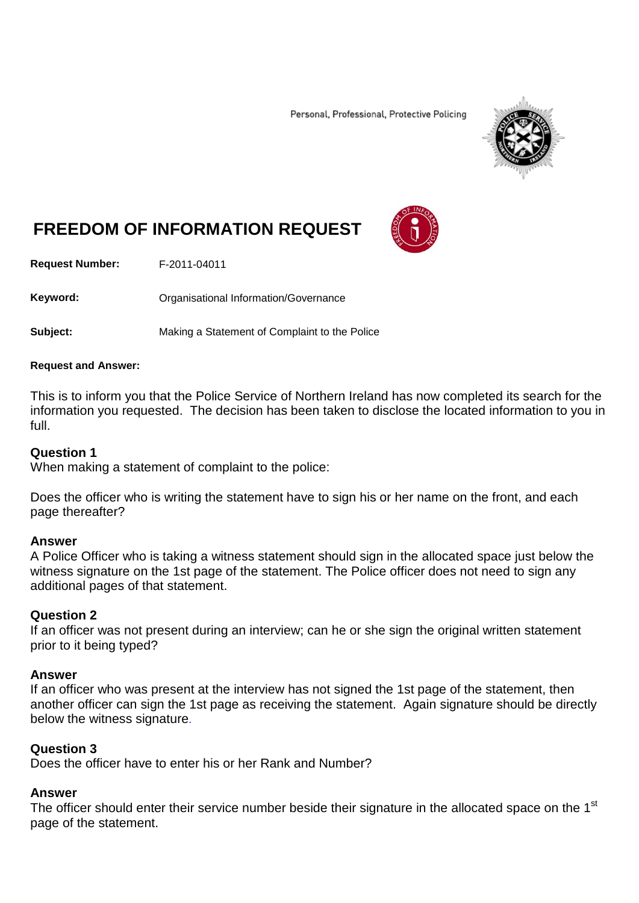Personal, Professional, Protective Policing



# **FREEDOM OF INFORMATION REQUEST**

**Request Number:** F-2011-04011

Keyword: **Communistry Communisties** Organisational Information/Governance

**Subject:** Making a Statement of Complaint to the Police

#### **Request and Answer:**

This is to inform you that the Police Service of Northern Ireland has now completed its search for the information you requested. The decision has been taken to disclose the located information to you in full.

#### **Question 1**

When making a statement of complaint to the police:

Does the officer who is writing the statement have to sign his or her name on the front, and each page thereafter?

#### **Answer**

A Police Officer who is taking a witness statement should sign in the allocated space just below the witness signature on the 1st page of the statement. The Police officer does not need to sign any additional pages of that statement.

#### **Question 2**

If an officer was not present during an interview; can he or she sign the original written statement prior to it being typed?

#### **Answer**

If an officer who was present at the interview has not signed the 1st page of the statement, then another officer can sign the 1st page as receiving the statement. Again signature should be directly below the witness signature.

#### **Question 3**

Does the officer have to enter his or her Rank and Number?

#### **Answer**

The officer should enter their service number beside their signature in the allocated space on the 1<sup>st</sup> page of the statement.